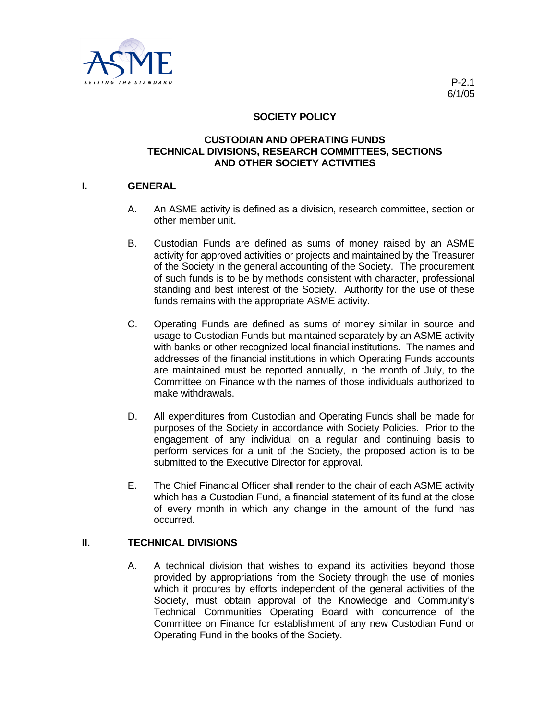

# **SOCIETY POLICY**

#### **CUSTODIAN AND OPERATING FUNDS TECHNICAL DIVISIONS, RESEARCH COMMITTEES, SECTIONS AND OTHER SOCIETY ACTIVITIES**

#### **I. GENERAL**

- A. An ASME activity is defined as a division, research committee, section or other member unit.
- B. Custodian Funds are defined as sums of money raised by an ASME activity for approved activities or projects and maintained by the Treasurer of the Society in the general accounting of the Society. The procurement of such funds is to be by methods consistent with character, professional standing and best interest of the Society. Authority for the use of these funds remains with the appropriate ASME activity.
- C. Operating Funds are defined as sums of money similar in source and usage to Custodian Funds but maintained separately by an ASME activity with banks or other recognized local financial institutions. The names and addresses of the financial institutions in which Operating Funds accounts are maintained must be reported annually, in the month of July, to the Committee on Finance with the names of those individuals authorized to make withdrawals.
- D. All expenditures from Custodian and Operating Funds shall be made for purposes of the Society in accordance with Society Policies. Prior to the engagement of any individual on a regular and continuing basis to perform services for a unit of the Society, the proposed action is to be submitted to the Executive Director for approval.
- E. The Chief Financial Officer shall render to the chair of each ASME activity which has a Custodian Fund, a financial statement of its fund at the close of every month in which any change in the amount of the fund has occurred.

# **II. TECHNICAL DIVISIONS**

A. A technical division that wishes to expand its activities beyond those provided by appropriations from the Society through the use of monies which it procures by efforts independent of the general activities of the Society, must obtain approval of the Knowledge and Community's Technical Communities Operating Board with concurrence of the Committee on Finance for establishment of any new Custodian Fund or Operating Fund in the books of the Society.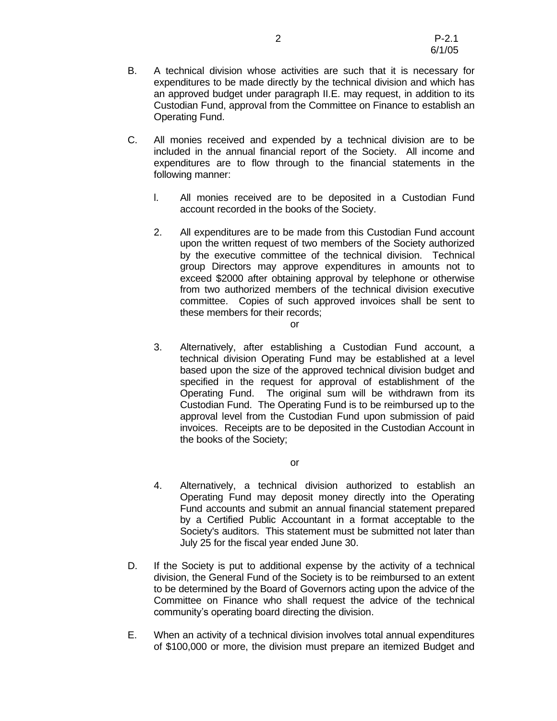- B. A technical division whose activities are such that it is necessary for expenditures to be made directly by the technical division and which has an approved budget under paragraph II.E. may request, in addition to its Custodian Fund, approval from the Committee on Finance to establish an Operating Fund.
- C. All monies received and expended by a technical division are to be included in the annual financial report of the Society. All income and expenditures are to flow through to the financial statements in the following manner:
	- l. All monies received are to be deposited in a Custodian Fund account recorded in the books of the Society.
	- 2. All expenditures are to be made from this Custodian Fund account upon the written request of two members of the Society authorized by the executive committee of the technical division. Technical group Directors may approve expenditures in amounts not to exceed \$2000 after obtaining approval by telephone or otherwise from two authorized members of the technical division executive committee. Copies of such approved invoices shall be sent to these members for their records;

or

3. Alternatively, after establishing a Custodian Fund account, a technical division Operating Fund may be established at a level based upon the size of the approved technical division budget and specified in the request for approval of establishment of the Operating Fund. The original sum will be withdrawn from its Custodian Fund. The Operating Fund is to be reimbursed up to the approval level from the Custodian Fund upon submission of paid invoices. Receipts are to be deposited in the Custodian Account in the books of the Society;

or

- 4. Alternatively, a technical division authorized to establish an Operating Fund may deposit money directly into the Operating Fund accounts and submit an annual financial statement prepared by a Certified Public Accountant in a format acceptable to the Society's auditors. This statement must be submitted not later than July 25 for the fiscal year ended June 30.
- D. If the Society is put to additional expense by the activity of a technical division, the General Fund of the Society is to be reimbursed to an extent to be determined by the Board of Governors acting upon the advice of the Committee on Finance who shall request the advice of the technical community's operating board directing the division.
- E. When an activity of a technical division involves total annual expenditures of \$100,000 or more, the division must prepare an itemized Budget and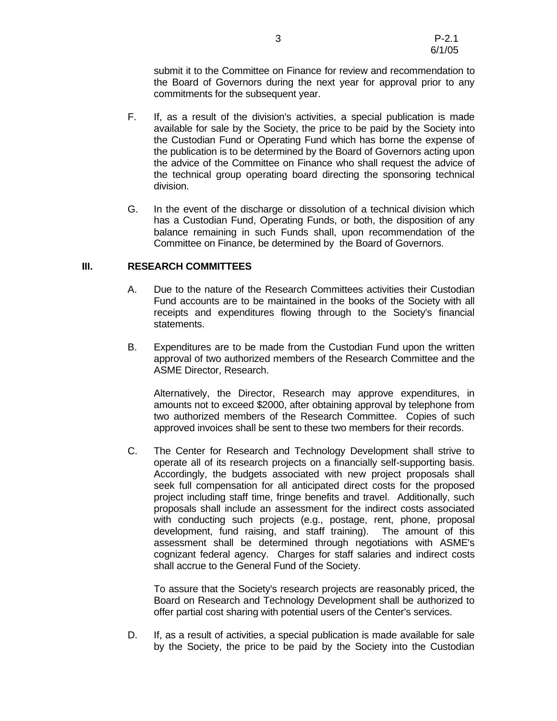submit it to the Committee on Finance for review and recommendation to the Board of Governors during the next year for approval prior to any commitments for the subsequent year.

- F. If, as a result of the division's activities, a special publication is made available for sale by the Society, the price to be paid by the Society into the Custodian Fund or Operating Fund which has borne the expense of the publication is to be determined by the Board of Governors acting upon the advice of the Committee on Finance who shall request the advice of the technical group operating board directing the sponsoring technical division.
- G. In the event of the discharge or dissolution of a technical division which has a Custodian Fund, Operating Funds, or both, the disposition of any balance remaining in such Funds shall, upon recommendation of the Committee on Finance, be determined by the Board of Governors.

#### **III. RESEARCH COMMITTEES**

- A. Due to the nature of the Research Committees activities their Custodian Fund accounts are to be maintained in the books of the Society with all receipts and expenditures flowing through to the Society's financial statements.
- B. Expenditures are to be made from the Custodian Fund upon the written approval of two authorized members of the Research Committee and the ASME Director, Research.

Alternatively, the Director, Research may approve expenditures, in amounts not to exceed \$2000, after obtaining approval by telephone from two authorized members of the Research Committee. Copies of such approved invoices shall be sent to these two members for their records.

C. The Center for Research and Technology Development shall strive to operate all of its research projects on a financially self-supporting basis. Accordingly, the budgets associated with new project proposals shall seek full compensation for all anticipated direct costs for the proposed project including staff time, fringe benefits and travel. Additionally, such proposals shall include an assessment for the indirect costs associated with conducting such projects (e.g., postage, rent, phone, proposal development, fund raising, and staff training). The amount of this assessment shall be determined through negotiations with ASME's cognizant federal agency. Charges for staff salaries and indirect costs shall accrue to the General Fund of the Society.

To assure that the Society's research projects are reasonably priced, the Board on Research and Technology Development shall be authorized to offer partial cost sharing with potential users of the Center's services.

D. If, as a result of activities, a special publication is made available for sale by the Society, the price to be paid by the Society into the Custodian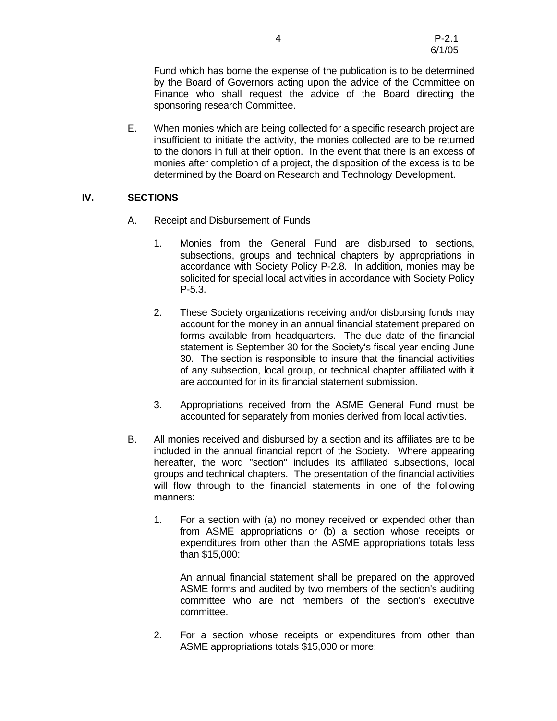Fund which has borne the expense of the publication is to be determined by the Board of Governors acting upon the advice of the Committee on Finance who shall request the advice of the Board directing the sponsoring research Committee.

E. When monies which are being collected for a specific research project are insufficient to initiate the activity, the monies collected are to be returned to the donors in full at their option. In the event that there is an excess of monies after completion of a project, the disposition of the excess is to be determined by the Board on Research and Technology Development.

### **IV. SECTIONS**

- A. Receipt and Disbursement of Funds
	- 1. Monies from the General Fund are disbursed to sections, subsections, groups and technical chapters by appropriations in accordance with Society Policy P-2.8. In addition, monies may be solicited for special local activities in accordance with Society Policy P-5.3.
	- 2. These Society organizations receiving and/or disbursing funds may account for the money in an annual financial statement prepared on forms available from headquarters. The due date of the financial statement is September 30 for the Society's fiscal year ending June 30. The section is responsible to insure that the financial activities of any subsection, local group, or technical chapter affiliated with it are accounted for in its financial statement submission.
	- 3. Appropriations received from the ASME General Fund must be accounted for separately from monies derived from local activities.
- B. All monies received and disbursed by a section and its affiliates are to be included in the annual financial report of the Society. Where appearing hereafter, the word "section" includes its affiliated subsections, local groups and technical chapters. The presentation of the financial activities will flow through to the financial statements in one of the following manners:
	- 1. For a section with (a) no money received or expended other than from ASME appropriations or (b) a section whose receipts or expenditures from other than the ASME appropriations totals less than \$15,000:

An annual financial statement shall be prepared on the approved ASME forms and audited by two members of the section's auditing committee who are not members of the section's executive committee.

2. For a section whose receipts or expenditures from other than ASME appropriations totals \$15,000 or more: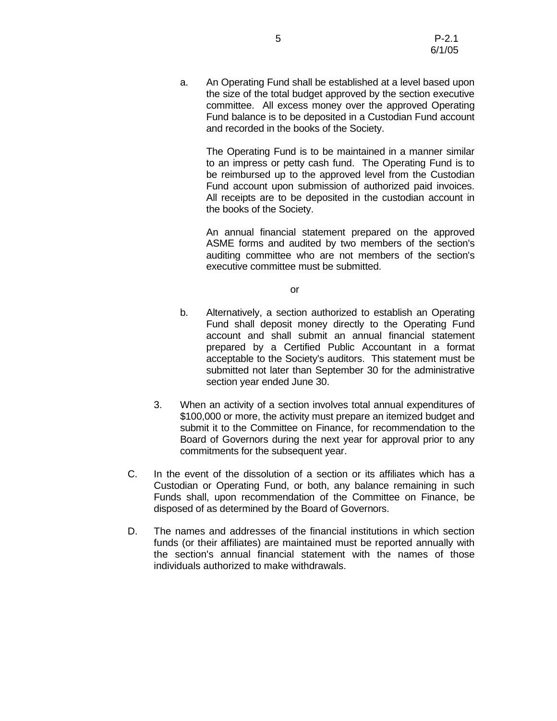a. An Operating Fund shall be established at a level based upon the size of the total budget approved by the section executive committee. All excess money over the approved Operating Fund balance is to be deposited in a Custodian Fund account and recorded in the books of the Society.

The Operating Fund is to be maintained in a manner similar to an impress or petty cash fund. The Operating Fund is to be reimbursed up to the approved level from the Custodian Fund account upon submission of authorized paid invoices. All receipts are to be deposited in the custodian account in the books of the Society.

An annual financial statement prepared on the approved ASME forms and audited by two members of the section's auditing committee who are not members of the section's executive committee must be submitted.

or

- b. Alternatively, a section authorized to establish an Operating Fund shall deposit money directly to the Operating Fund account and shall submit an annual financial statement prepared by a Certified Public Accountant in a format acceptable to the Society's auditors. This statement must be submitted not later than September 30 for the administrative section year ended June 30.
- 3. When an activity of a section involves total annual expenditures of \$100,000 or more, the activity must prepare an itemized budget and submit it to the Committee on Finance, for recommendation to the Board of Governors during the next year for approval prior to any commitments for the subsequent year.
- C. In the event of the dissolution of a section or its affiliates which has a Custodian or Operating Fund, or both, any balance remaining in such Funds shall, upon recommendation of the Committee on Finance, be disposed of as determined by the Board of Governors.
- D. The names and addresses of the financial institutions in which section funds (or their affiliates) are maintained must be reported annually with the section's annual financial statement with the names of those individuals authorized to make withdrawals.